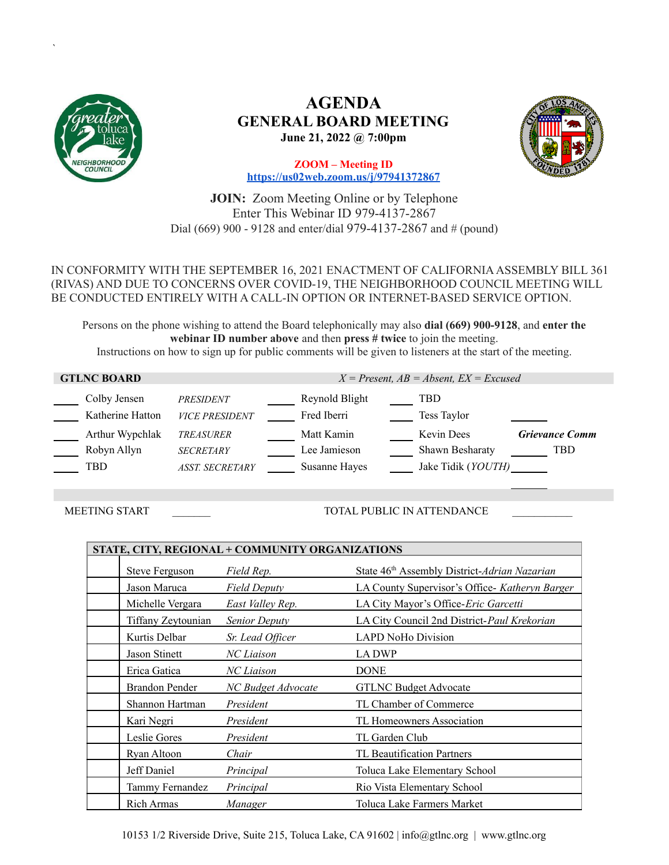

*`*

# **AGENDA GENERAL BOARD MEETING June 21, 2022 @ 7:00pm**



**ZOOM – Meeting ID <https://us02web.zoom.us/j/97941372867>**

**JOIN:** Zoom Meeting Online or by Telephone Enter This Webinar ID 979-4137-2867 Dial (669) 900 - 9128 and enter/dial 979-4137-2867 and # (pound)

## IN CONFORMITY WITH THE SEPTEMBER 16, 2021 ENACTMENT OF CALIFORNIAASSEMBLY BILL 361 (RIVAS) AND DUE TO CONCERNS OVER COVID-19, THE NEIGHBORHOOD COUNCIL MEETING WILL BE CONDUCTED ENTIRELY WITH A CALL-IN OPTION OR INTERNET-BASED SERVICE OPTION.

Persons on the phone wishing to attend the Board telephonically may also **dial (669) 900-9128**, and **enter the webinar ID number above** and then **press # twice** to join the meeting. Instructions on how to sign up for public comments will be given to listeners at the start of the meeting.

| <b>GTLNC BOARD</b>                    |                                                                | $X = Present$ , $AB = Absent$ , $EX = Excused$                                                                                                                          |
|---------------------------------------|----------------------------------------------------------------|-------------------------------------------------------------------------------------------------------------------------------------------------------------------------|
| Colby Jensen<br>Katherine Hatton      | PRESIDENT<br><b>VICE PRESIDENT</b>                             | Reynold Blight<br>TBD<br>Fred Iberri<br>Tess Taylor                                                                                                                     |
| Arthur Wypchlak<br>Robyn Allyn<br>TBD | <b>TREASURER</b><br><b>SECRETARY</b><br><b>ASST. SECRETARY</b> | Matt Kamin<br><b>Kevin Dees</b><br><b>Grievance Comm</b><br>Lee Jamieson<br><b>Shawn Besharaty</b><br><b>TBD</b><br>Jake Tidik ( <i>YOUTH</i> )<br><b>Susanne Hayes</b> |

MEETING START \_\_\_\_\_\_\_ TOTAL PUBLIC IN ATTENDANCE \_\_\_\_\_\_\_\_\_\_\_

| STATE, CITY, REGIONAL + COMMUNITY ORGANIZATIONS |                       |                      |                                                          |  |  |
|-------------------------------------------------|-----------------------|----------------------|----------------------------------------------------------|--|--|
|                                                 | Steve Ferguson        | Field Rep.           | State 46 <sup>th</sup> Assembly District-Adrian Nazarian |  |  |
|                                                 | Jason Maruca          | <b>Field Deputy</b>  | LA County Supervisor's Office- Katheryn Barger           |  |  |
|                                                 | Michelle Vergara      | East Valley Rep.     | LA City Mayor's Office- <i>Eric Garcetti</i>             |  |  |
|                                                 | Tiffany Zeytounian    | <b>Senior Deputy</b> | LA City Council 2nd District-Paul Krekorian              |  |  |
|                                                 | Kurtis Delbar         | Sr. Lead Officer     | <b>LAPD NoHo Division</b>                                |  |  |
|                                                 | Jason Stinett         | NC Liaison           | <b>LADWP</b>                                             |  |  |
|                                                 | Erica Gatica          | NC Liaison           | <b>DONE</b>                                              |  |  |
|                                                 | <b>Brandon Pender</b> | NC Budget Advocate   | <b>GTLNC Budget Advocate</b>                             |  |  |
|                                                 | Shannon Hartman       | President            | TL Chamber of Commerce                                   |  |  |
|                                                 | Kari Negri            | President            | TL Homeowners Association                                |  |  |
|                                                 | Leslie Gores          | President            | TL Garden Club                                           |  |  |
|                                                 | Ryan Altoon           | Chair                | TL Beautification Partners                               |  |  |
|                                                 | Jeff Daniel           | Principal            | Toluca Lake Elementary School                            |  |  |
|                                                 | Tammy Fernandez       | Principal            | Rio Vista Elementary School                              |  |  |
|                                                 | <b>Rich Armas</b>     | Manager              | Toluca Lake Farmers Market                               |  |  |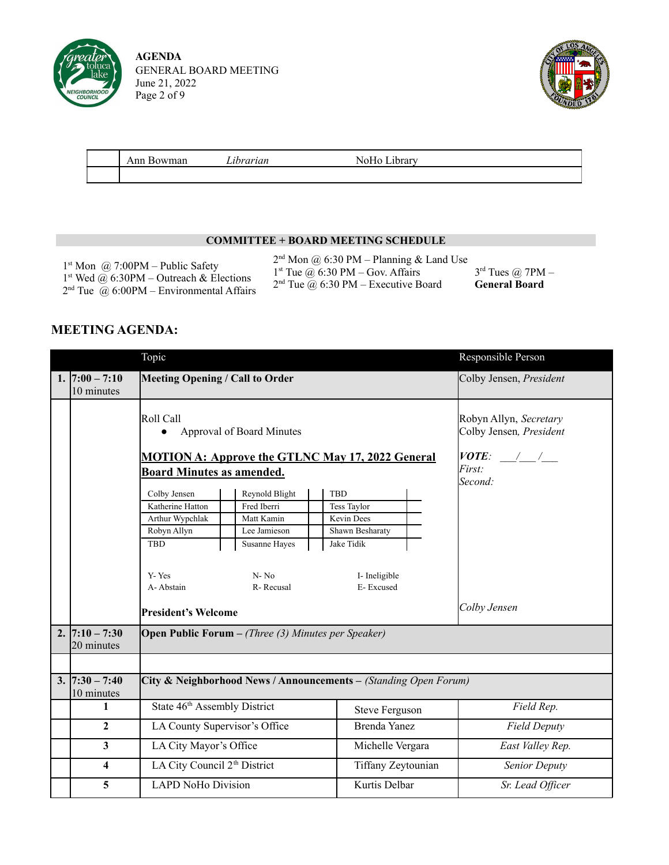

**AGENDA** GENERAL BOARD MEETING June 21, 2022 Page 2 of 9



| Ann<br>$A + 1$ | .<br>.ıbrarıan | $\overline{\phantom{a}}$<br>$\mathbf{r}$<br>דים י |  |
|----------------|----------------|---------------------------------------------------|--|
|                |                |                                                   |  |

### **COMMITTEE + BOARD MEETING SCHEDULE**

1 st Mon @ 7:00PM – Public Safety 1 st Wed @ 6:30PM – Outreach & Elections  $2<sup>nd</sup>$  Tue  $\omega$  6:00PM – Environmental Affairs  $2<sup>nd</sup>$  Mon @ 6:30 PM – Planning & Land Use

1 st Tue @ 6:30 PM – Gov. Affairs

 $2<sup>nd</sup>$  Tue  $@$  6:30 PM – Executive Board

 $3<sup>rd</sup>$  Tues  $@$  7PM – **General Board**

# **MEETING AGENDA:**

|                                 | Topic                                                                                                                                      |                                                                                                       |                                                                                                        | Responsible Person                       |  |  |
|---------------------------------|--------------------------------------------------------------------------------------------------------------------------------------------|-------------------------------------------------------------------------------------------------------|--------------------------------------------------------------------------------------------------------|------------------------------------------|--|--|
| 1. $ 7:00 - 7:10$<br>10 minutes | <b>Meeting Opening / Call to Order</b>                                                                                                     |                                                                                                       | Colby Jensen, President                                                                                |                                          |  |  |
|                                 | Roll Call<br>$\bullet$                                                                                                                     | Approval of Board Minutes<br><b>MOTION A: Approve the GTLNC May 17, 2022 General</b>                  | Robyn Allyn, Secretary<br>Colby Jensen, President<br><i>VOTE:</i> $\frac{1}{2}$                        |                                          |  |  |
|                                 | <b>Board Minutes as amended.</b><br>Colby Jensen<br>Katherine Hatton<br>Arthur Wypchlak<br>Robyn Allyn<br><b>TBD</b><br>Y-Yes<br>A-Abstain | Reynold Blight<br>Fred Iberri<br>Matt Kamin<br>Lee Jamieson<br>Susanne Hayes<br>$N - No$<br>R-Recusal | <b>TBD</b><br>Tess Taylor<br>Kevin Dees<br>Shawn Besharaty<br>Jake Tidik<br>I- Ineligible<br>E-Excused | <i>First:</i><br>Second:<br>Colby Jensen |  |  |
| 2. $ 7:10 - 7:30$<br>20 minutes | <b>President's Welcome</b>                                                                                                                 | <b>Open Public Forum</b> $-$ (Three (3) Minutes per Speaker)                                          |                                                                                                        |                                          |  |  |
| $3.  7:30 - 7:40$<br>10 minutes | City & Neighborhood News / Announcements - (Standing Open Forum)                                                                           |                                                                                                       |                                                                                                        |                                          |  |  |
| 1                               | State 46 <sup>th</sup> Assembly District                                                                                                   |                                                                                                       | <b>Steve Ferguson</b>                                                                                  | Field Rep.                               |  |  |
| $\overline{2}$                  | LA County Supervisor's Office                                                                                                              |                                                                                                       | <b>Brenda Yanez</b>                                                                                    | <b>Field Deputy</b>                      |  |  |
| $\mathbf{3}$                    | LA City Mayor's Office                                                                                                                     |                                                                                                       | Michelle Vergara                                                                                       | East Valley Rep.                         |  |  |
| $\overline{\mathbf{4}}$         | LA City Council 2 <sup>th</sup> District                                                                                                   |                                                                                                       | Tiffany Zeytounian                                                                                     | Senior Deputy                            |  |  |
| 5                               | <b>LAPD NoHo Division</b>                                                                                                                  |                                                                                                       | Kurtis Delbar                                                                                          | Sr. Lead Officer                         |  |  |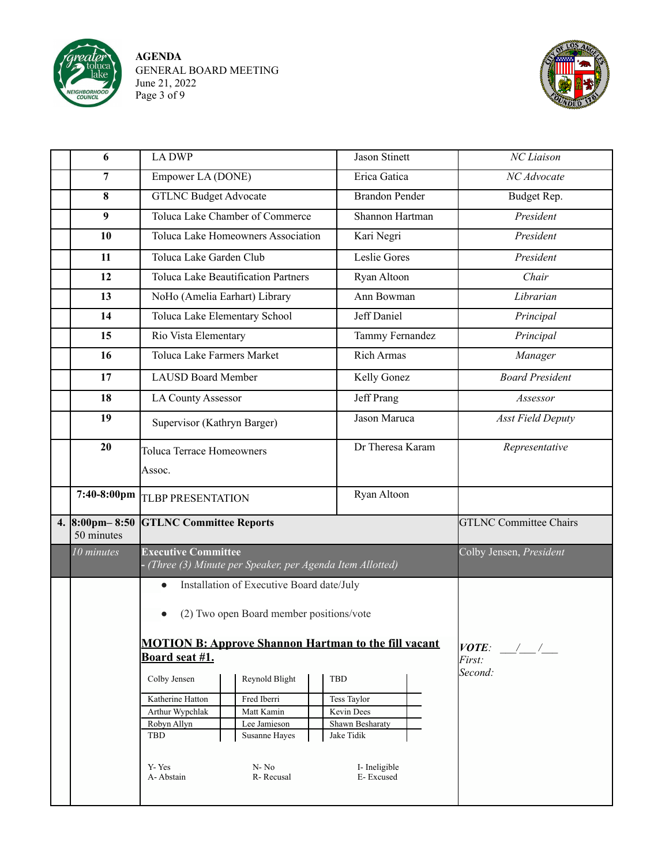

**AGENDA** GENERAL BOARD MEETING June 21, 2022 Page 3 of 9



| 6                                        | <b>LADWP</b>                                                                                                      |                                                                                                                                                                                                                                                  | <b>Jason Stinett</b>                        | NC Liaison                    |
|------------------------------------------|-------------------------------------------------------------------------------------------------------------------|--------------------------------------------------------------------------------------------------------------------------------------------------------------------------------------------------------------------------------------------------|---------------------------------------------|-------------------------------|
| 7                                        | Empower LA (DONE)                                                                                                 |                                                                                                                                                                                                                                                  | Erica Gatica                                | NC Advocate                   |
| 8                                        | <b>GTLNC Budget Advocate</b>                                                                                      |                                                                                                                                                                                                                                                  | <b>Brandon Pender</b>                       | Budget Rep.                   |
| 9                                        |                                                                                                                   | Toluca Lake Chamber of Commerce                                                                                                                                                                                                                  | Shannon Hartman                             | President                     |
| 10                                       |                                                                                                                   | Toluca Lake Homeowners Association                                                                                                                                                                                                               | Kari Negri                                  | President                     |
| 11                                       | Toluca Lake Garden Club                                                                                           |                                                                                                                                                                                                                                                  | Leslie Gores                                | President                     |
| 12                                       |                                                                                                                   | <b>Toluca Lake Beautification Partners</b>                                                                                                                                                                                                       | Ryan Altoon                                 | Chair                         |
| 13                                       | NoHo (Amelia Earhart) Library                                                                                     |                                                                                                                                                                                                                                                  | Ann Bowman                                  | Librarian                     |
| 14                                       | Toluca Lake Elementary School                                                                                     |                                                                                                                                                                                                                                                  | Jeff Daniel                                 | Principal                     |
| 15                                       | Rio Vista Elementary                                                                                              |                                                                                                                                                                                                                                                  | Tammy Fernandez                             | Principal                     |
| 16                                       | <b>Toluca Lake Farmers Market</b>                                                                                 |                                                                                                                                                                                                                                                  | <b>Rich Armas</b>                           | Manager                       |
| 17                                       | <b>LAUSD Board Member</b>                                                                                         |                                                                                                                                                                                                                                                  | Kelly Gonez                                 | <b>Board President</b>        |
| 18                                       | <b>LA County Assessor</b>                                                                                         |                                                                                                                                                                                                                                                  | Jeff Prang                                  | Assessor                      |
| 19                                       | Supervisor (Kathryn Barger)                                                                                       |                                                                                                                                                                                                                                                  | Jason Maruca                                | <b>Asst Field Deputy</b>      |
| 20                                       | <b>Toluca Terrace Homeowners</b>                                                                                  |                                                                                                                                                                                                                                                  | Dr Theresa Karam                            | Representative                |
|                                          | Assoc.                                                                                                            |                                                                                                                                                                                                                                                  |                                             |                               |
| 7:40-8:00pm                              | <b>TLBP PRESENTATION</b>                                                                                          |                                                                                                                                                                                                                                                  | Ryan Altoon                                 |                               |
| 4. $8:00 \text{pm} - 8:50$<br>50 minutes | <b>GTLNC Committee Reports</b>                                                                                    |                                                                                                                                                                                                                                                  |                                             | <b>GTLNC Committee Chairs</b> |
| 10 minutes                               | <b>Executive Committee</b>                                                                                        | (Three (3) Minute per Speaker, per Agenda Item Allotted)                                                                                                                                                                                         | Colby Jensen, President                     |                               |
|                                          | $\bullet$<br>Board seat #1.<br>Colby Jensen<br>Katherine Hatton<br>Arthur Wypchlak<br>Robyn Allyn<br>TBD<br>Y-Yes | Installation of Executive Board date/July<br>(2) Two open Board member positions/vote<br><b>MOTION B: Approve Shannon Hartman to the fill vacant</b><br>Reynold Blight<br>Fred Iberri<br>Matt Kamin<br>Lee Jamieson<br>Susanne Hayes<br>$N - No$ | VOTE:<br>$\frac{1}{2}$<br>First:<br>Second: |                               |
|                                          | A-Abstain                                                                                                         | R-Recusal                                                                                                                                                                                                                                        | I-Ineligible<br>E-Excused                   |                               |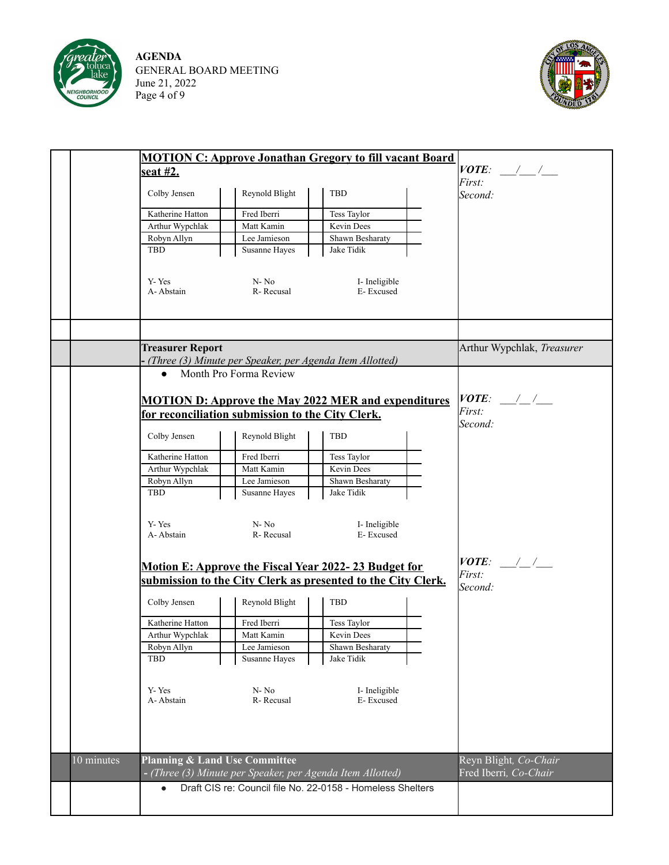

**AGENDA** GENERAL BOARD MEETING June 21, 2022 Page 4 of 9



|            |                                                  |                | <b>MOTION C: Approve Jonathan Gregory to fill vacant Board</b> |                            |
|------------|--------------------------------------------------|----------------|----------------------------------------------------------------|----------------------------|
|            | seat #2.                                         |                |                                                                | $VOTE:$ / /                |
|            |                                                  |                |                                                                | First:                     |
|            | Colby Jensen                                     | Reynold Blight | <b>TBD</b>                                                     | Second:                    |
|            | Katherine Hatton                                 | Fred Iberri    | Tess Taylor                                                    |                            |
|            | Arthur Wypchlak                                  | Matt Kamin     | Kevin Dees                                                     |                            |
|            | Robyn Allyn                                      | Lee Jamieson   | Shawn Besharaty                                                |                            |
|            | TBD                                              | Susanne Hayes  | Jake Tidik                                                     |                            |
|            |                                                  |                |                                                                |                            |
|            |                                                  |                |                                                                |                            |
|            | Y-Yes<br>A-Abstain                               | $N - No$       | I-Ineligible                                                   |                            |
|            |                                                  | R-Recusal      | E-Excused                                                      |                            |
|            |                                                  |                |                                                                |                            |
|            |                                                  |                |                                                                |                            |
|            |                                                  |                |                                                                |                            |
|            | <b>Treasurer Report</b>                          |                |                                                                | Arthur Wypchlak, Treasurer |
|            |                                                  |                | (Three (3) Minute per Speaker, per Agenda Item Allotted)       |                            |
|            | • Month Pro Forma Review                         |                |                                                                |                            |
|            |                                                  |                |                                                                |                            |
|            |                                                  |                | <b>MOTION D: Approve the May 2022 MER and expenditures</b>     | $VOTE:$ / /                |
|            | for reconciliation submission to the City Clerk. |                |                                                                | First:                     |
|            |                                                  |                |                                                                | Second:                    |
|            | Colby Jensen                                     | Reynold Blight | TBD                                                            |                            |
|            |                                                  |                |                                                                |                            |
|            | Katherine Hatton                                 | Fred Iberri    | Tess Taylor                                                    |                            |
|            | Arthur Wypchlak                                  | Matt Kamin     | Kevin Dees                                                     |                            |
|            | Robyn Allyn                                      | Lee Jamieson   | Shawn Besharaty                                                |                            |
|            | <b>TBD</b>                                       | Susanne Hayes  | Jake Tidik                                                     |                            |
|            |                                                  |                |                                                                |                            |
|            | Y-Yes                                            | $N - No$       | I-Ineligible                                                   |                            |
|            | A-Abstain                                        | R-Recusal      | E-Excused                                                      |                            |
|            |                                                  |                |                                                                |                            |
|            |                                                  |                | Motion E: Approve the Fiscal Year 2022-23 Budget for           | $VOTE:$ / /                |
|            |                                                  |                | submission to the City Clerk as presented to the City Clerk.   | First:                     |
|            |                                                  |                |                                                                | Second:                    |
|            | Colby Jensen                                     | Reynold Blight | TBD                                                            |                            |
|            |                                                  |                |                                                                |                            |
|            | Katherine Hatton                                 | Fred Iberri    | Tess Taylor                                                    |                            |
|            | Arthur Wypchlak                                  | Matt Kamin     | Kevin Dees                                                     |                            |
|            | Robyn Allyn                                      | Lee Jamieson   | Shawn Besharaty                                                |                            |
|            | <b>TBD</b>                                       | Susanne Hayes  | Jake Tidik                                                     |                            |
|            |                                                  |                |                                                                |                            |
|            | Y-Yes                                            | $N-No$         | I-Ineligible                                                   |                            |
|            | A-Abstain                                        | R-Recusal      | E-Excused                                                      |                            |
|            |                                                  |                |                                                                |                            |
|            |                                                  |                |                                                                |                            |
|            |                                                  |                |                                                                |                            |
|            |                                                  |                |                                                                |                            |
| 10 minutes | <b>Planning &amp; Land Use Committee</b>         |                |                                                                | Reyn Blight, Co-Chair      |
|            |                                                  |                | - (Three (3) Minute per Speaker, per Agenda Item Allotted)     | Fred Iberri, Co-Chair      |
|            |                                                  |                | Draft CIS re: Council file No. 22-0158 - Homeless Shelters     |                            |
|            |                                                  |                |                                                                |                            |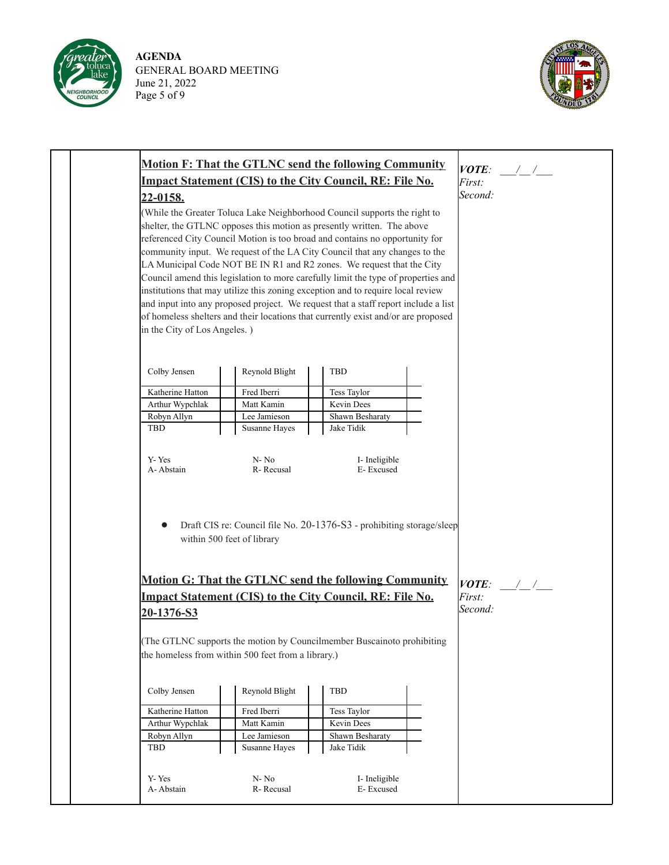

**AGENDA** GENERAL BOARD MEETING June 21, 2022 Page 5 of 9



|  | <b>Motion F: That the GTLNC send the following Community</b> | VOTE:                                              |                                                                                    |  |              |
|--|--------------------------------------------------------------|----------------------------------------------------|------------------------------------------------------------------------------------|--|--------------|
|  |                                                              |                                                    | Impact Statement (CIS) to the City Council, RE: File No.                           |  | First:       |
|  | 22-0158.                                                     |                                                    |                                                                                    |  | Second:      |
|  |                                                              |                                                    | (While the Greater Toluca Lake Neighborhood Council supports the right to          |  |              |
|  |                                                              |                                                    | shelter, the GTLNC opposes this motion as presently written. The above             |  |              |
|  |                                                              |                                                    | referenced City Council Motion is too broad and contains no opportunity for        |  |              |
|  |                                                              |                                                    | community input. We request of the LA City Council that any changes to the         |  |              |
|  |                                                              |                                                    | LA Municipal Code NOT BE IN R1 and R2 zones. We request that the City              |  |              |
|  |                                                              |                                                    | Council amend this legislation to more carefully limit the type of properties and  |  |              |
|  |                                                              |                                                    | institutions that may utilize this zoning exception and to require local review    |  |              |
|  |                                                              |                                                    | and input into any proposed project. We request that a staff report include a list |  |              |
|  |                                                              |                                                    | of homeless shelters and their locations that currently exist and/or are proposed  |  |              |
|  | in the City of Los Angeles.)                                 |                                                    |                                                                                    |  |              |
|  |                                                              |                                                    |                                                                                    |  |              |
|  | Colby Jensen                                                 | Reynold Blight                                     | <b>TBD</b>                                                                         |  |              |
|  | Katherine Hatton                                             | Fred Iberri                                        | Tess Taylor                                                                        |  |              |
|  | Arthur Wypchlak                                              | Matt Kamin                                         | Kevin Dees                                                                         |  |              |
|  | Robyn Allyn                                                  | Lee Jamieson                                       | Shawn Besharaty                                                                    |  |              |
|  | <b>TBD</b>                                                   | Susanne Hayes                                      | Jake Tidik                                                                         |  |              |
|  |                                                              |                                                    |                                                                                    |  |              |
|  | Y-Yes                                                        | $N-No$                                             | I-Ineligible                                                                       |  |              |
|  | A-Abstain                                                    | R-Recusal                                          | E-Excused                                                                          |  |              |
|  |                                                              |                                                    |                                                                                    |  |              |
|  |                                                              |                                                    |                                                                                    |  |              |
|  |                                                              | within 500 feet of library                         | Draft CIS re: Council file No. 20-1376-S3 - prohibiting storage/sleep              |  |              |
|  |                                                              |                                                    |                                                                                    |  |              |
|  |                                                              |                                                    |                                                                                    |  |              |
|  |                                                              |                                                    | <b>Motion G: That the GTLNC send the following Community</b>                       |  | <i>VOTE:</i> |
|  |                                                              |                                                    | Impact Statement (CIS) to the City Council, RE: File No.                           |  | First:       |
|  | 20-1376-S3                                                   |                                                    |                                                                                    |  | Second:      |
|  |                                                              |                                                    |                                                                                    |  |              |
|  |                                                              |                                                    | (The GTLNC supports the motion by Councilmember Buscainoto prohibiting             |  |              |
|  |                                                              | the homeless from within 500 feet from a library.) |                                                                                    |  |              |
|  |                                                              |                                                    |                                                                                    |  |              |
|  | Colby Jensen                                                 | Reynold Blight                                     | TBD                                                                                |  |              |
|  |                                                              |                                                    |                                                                                    |  |              |
|  | Katherine Hatton<br>Arthur Wypchlak                          | Fred Iberri<br>Matt Kamin                          | Tess Taylor<br>Kevin Dees                                                          |  |              |
|  | Robyn Allyn                                                  | Lee Jamieson                                       | Shawn Besharaty                                                                    |  |              |
|  | TBD                                                          | Susanne Hayes                                      | Jake Tidik                                                                         |  |              |
|  |                                                              |                                                    |                                                                                    |  |              |
|  |                                                              | $N - No$                                           |                                                                                    |  |              |
|  | Y-Yes<br>A-Abstain                                           | R-Recusal                                          | I-Ineligible<br>E-Excused                                                          |  |              |
|  |                                                              |                                                    |                                                                                    |  |              |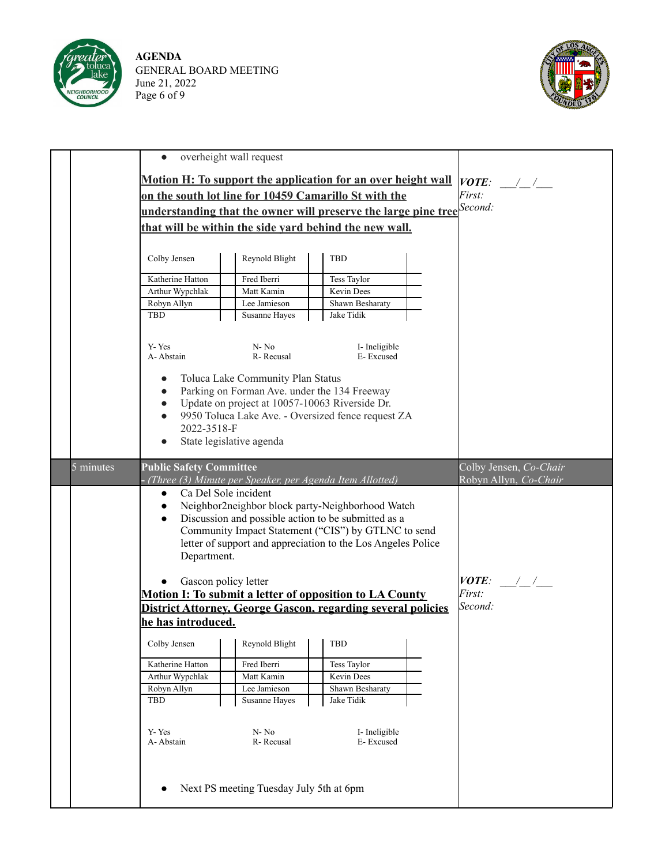

**AGENDA** GENERAL BOARD MEETING June 21, 2022 Page 6 of 9



|           | $\bullet$                                                                                                                                                                                                                                                                                                                                                                | overheight wall request                                                                                                                                         |                                                                                   |  |                                                 |
|-----------|--------------------------------------------------------------------------------------------------------------------------------------------------------------------------------------------------------------------------------------------------------------------------------------------------------------------------------------------------------------------------|-----------------------------------------------------------------------------------------------------------------------------------------------------------------|-----------------------------------------------------------------------------------|--|-------------------------------------------------|
|           |                                                                                                                                                                                                                                                                                                                                                                          |                                                                                                                                                                 | Motion H: To support the application for an over height wall                      |  | $VOTE:$ / /                                     |
|           |                                                                                                                                                                                                                                                                                                                                                                          |                                                                                                                                                                 | on the south lot line for 10459 Camarillo St with the                             |  | <i>First:</i>                                   |
|           |                                                                                                                                                                                                                                                                                                                                                                          |                                                                                                                                                                 | understanding that the owner will preserve the large pine tree <sup>Second:</sup> |  |                                                 |
|           |                                                                                                                                                                                                                                                                                                                                                                          | that will be within the side yard behind the new wall.                                                                                                          |                                                                                   |  |                                                 |
|           |                                                                                                                                                                                                                                                                                                                                                                          |                                                                                                                                                                 |                                                                                   |  |                                                 |
|           | Colby Jensen                                                                                                                                                                                                                                                                                                                                                             | Reynold Blight                                                                                                                                                  | <b>TBD</b>                                                                        |  |                                                 |
|           | Katherine Hatton                                                                                                                                                                                                                                                                                                                                                         | Fred Iberri                                                                                                                                                     | Tess Taylor                                                                       |  |                                                 |
|           | Arthur Wypchlak                                                                                                                                                                                                                                                                                                                                                          | Matt Kamin                                                                                                                                                      | Kevin Dees                                                                        |  |                                                 |
|           | Robyn Allyn                                                                                                                                                                                                                                                                                                                                                              | Lee Jamieson                                                                                                                                                    | Shawn Besharaty                                                                   |  |                                                 |
|           | <b>TBD</b>                                                                                                                                                                                                                                                                                                                                                               | Susanne Hayes                                                                                                                                                   | Jake Tidik                                                                        |  |                                                 |
|           | Y-Yes<br>A-Abstain                                                                                                                                                                                                                                                                                                                                                       | N-No<br>R-Recusal                                                                                                                                               | I-Ineligible<br>E-Excused                                                         |  |                                                 |
|           | $\bullet$<br>$\bullet$<br>$\bullet$<br>2022-3518-F                                                                                                                                                                                                                                                                                                                       | Toluca Lake Community Plan Status<br>Parking on Forman Ave. under the 134 Freeway<br>Update on project at 10057-10063 Riverside Dr.<br>State legislative agenda | 9950 Toluca Lake Ave. - Oversized fence request ZA                                |  |                                                 |
| 5 minutes | <b>Public Safety Committee</b>                                                                                                                                                                                                                                                                                                                                           |                                                                                                                                                                 |                                                                                   |  | Colby Jensen, Co-Chair<br>Robyn Allyn, Co-Chair |
|           | (Three (3) Minute per Speaker, per Agenda Item Allotted)<br>Ca Del Sole incident<br>$\bullet$<br>Neighbor2neighbor block party-Neighborhood Watch<br>$\bullet$<br>Discussion and possible action to be submitted as a<br>$\bullet$<br>Community Impact Statement ("CIS") by GTLNC to send<br>letter of support and appreciation to the Los Angeles Police<br>Department. |                                                                                                                                                                 |                                                                                   |  |                                                 |
|           |                                                                                                                                                                                                                                                                                                                                                                          | Gascon policy letter                                                                                                                                            |                                                                                   |  | $VOTE:$ / /                                     |
|           |                                                                                                                                                                                                                                                                                                                                                                          |                                                                                                                                                                 | Motion I: To submit a letter of opposition to LA County                           |  | <i>First:</i>                                   |
|           |                                                                                                                                                                                                                                                                                                                                                                          |                                                                                                                                                                 | District Attorney, George Gascon, regarding several policies                      |  | Second:                                         |
|           | he has introduced.                                                                                                                                                                                                                                                                                                                                                       |                                                                                                                                                                 |                                                                                   |  |                                                 |
|           | Colby Jensen                                                                                                                                                                                                                                                                                                                                                             | Reynold Blight                                                                                                                                                  | <b>TBD</b>                                                                        |  |                                                 |
|           | Katherine Hatton                                                                                                                                                                                                                                                                                                                                                         | Fred Iberri                                                                                                                                                     | Tess Taylor                                                                       |  |                                                 |
|           | Arthur Wypchlak                                                                                                                                                                                                                                                                                                                                                          | Matt Kamin                                                                                                                                                      | Kevin Dees                                                                        |  |                                                 |
|           | Robyn Allyn                                                                                                                                                                                                                                                                                                                                                              | Lee Jamieson                                                                                                                                                    | Shawn Besharaty                                                                   |  |                                                 |
|           | TBD                                                                                                                                                                                                                                                                                                                                                                      | Susanne Hayes                                                                                                                                                   | Jake Tidik                                                                        |  |                                                 |
|           | Y-Yes<br>A-Abstain                                                                                                                                                                                                                                                                                                                                                       | $N - No$<br>R-Recusal                                                                                                                                           | I- Ineligible<br>E-Excused                                                        |  |                                                 |
|           |                                                                                                                                                                                                                                                                                                                                                                          | Next PS meeting Tuesday July 5th at 6pm                                                                                                                         |                                                                                   |  |                                                 |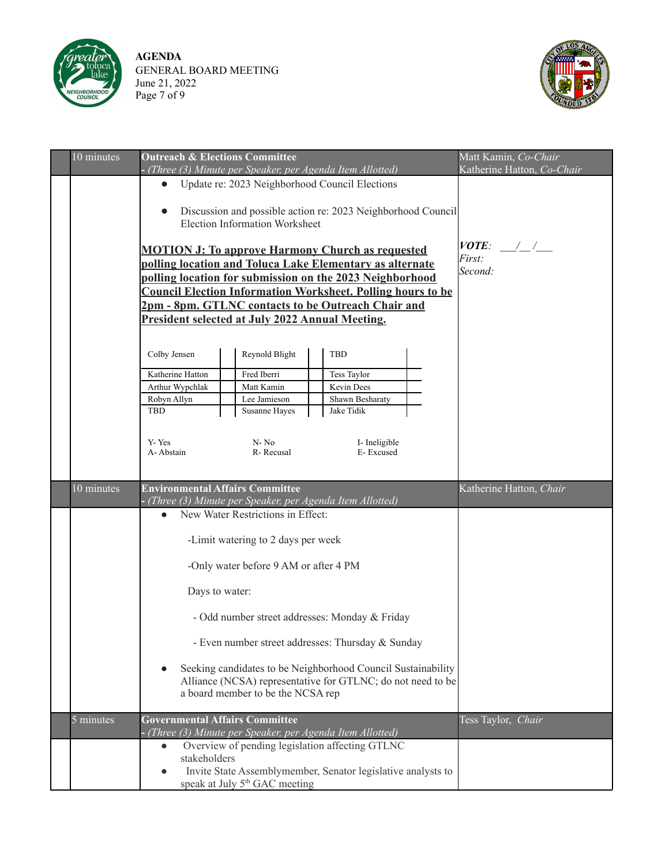

**AGENDA** GENERAL BOARD MEETING June 21, 2022 Page 7 of 9



| 10 minutes  | <b>Outreach &amp; Elections Committee</b>                                                       | (Three (3) Minute per Speaker, per Agenda Item Allotted)                                                                                                                                                                                                                                                                                                                                                                                                                                                             |                                                                                                       | Matt Kamin, Co-Chair<br>Katherine Hatton, Co-Chair |                         |
|-------------|-------------------------------------------------------------------------------------------------|----------------------------------------------------------------------------------------------------------------------------------------------------------------------------------------------------------------------------------------------------------------------------------------------------------------------------------------------------------------------------------------------------------------------------------------------------------------------------------------------------------------------|-------------------------------------------------------------------------------------------------------|----------------------------------------------------|-------------------------|
|             |                                                                                                 | • Update re: 2023 Neighborhood Council Elections<br>Discussion and possible action re: 2023 Neighborhood Council<br>Election Information Worksheet<br><b>MOTION J: To approve Harmony Church as requested</b><br>polling location and Toluca Lake Elementary as alternate<br>polling location for submission on the 2023 Neighborhood<br><b>Council Election Information Worksheet. Polling hours to be</b><br>2pm - 8pm. GTLNC contacts to be Outreach Chair and<br>President selected at July 2022 Annual Meeting. | $VOTE:$ / /<br><i>First:</i><br>Second:                                                               |                                                    |                         |
|             | Colby Jensen<br>Katherine Hatton<br>Arthur Wypchlak<br>Robyn Allyn<br>TBD<br>Y-Yes<br>A-Abstain | Reynold Blight<br>Fred Iberri<br>Matt Kamin<br>Lee Jamieson<br>Susanne Hayes<br>$N - No$<br>R-Recusal                                                                                                                                                                                                                                                                                                                                                                                                                | <b>TBD</b><br>Tess Taylor<br>Kevin Dees<br>Shawn Besharaty<br>Jake Tidik<br>I-Ineligible<br>E-Excused |                                                    |                         |
| 10 minutes  | <b>Environmental Affairs Committee</b>                                                          | (Three (3) Minute per Speaker, per Agenda Item Allotted)                                                                                                                                                                                                                                                                                                                                                                                                                                                             |                                                                                                       |                                                    | Katherine Hatton, Chair |
|             | $\bullet$<br>Days to water:                                                                     | New Water Restrictions in Effect:<br>-Limit watering to 2 days per week<br>-Only water before 9 AM or after 4 PM<br>- Odd number street addresses: Monday & Friday<br>- Even number street addresses: Thursday & Sunday<br>Seeking candidates to be Neighborhood Council Sustainability<br>Alliance (NCSA) representative for GTLNC; do not need to be<br>a board member to be the NCSA rep                                                                                                                          |                                                                                                       |                                                    |                         |
| $5$ minutes | <b>Governmental Affairs Committee</b>                                                           | (Three (3) Minute per Speaker, per Agenda Item Allotted)                                                                                                                                                                                                                                                                                                                                                                                                                                                             | Tess Taylor, Chair                                                                                    |                                                    |                         |
|             | $\bullet$<br>stakeholders<br>$\bullet$                                                          | Overview of pending legislation affecting GTLNC<br>Invite State Assemblymember, Senator legislative analysts to<br>speak at July 5 <sup>th</sup> GAC meeting                                                                                                                                                                                                                                                                                                                                                         |                                                                                                       |                                                    |                         |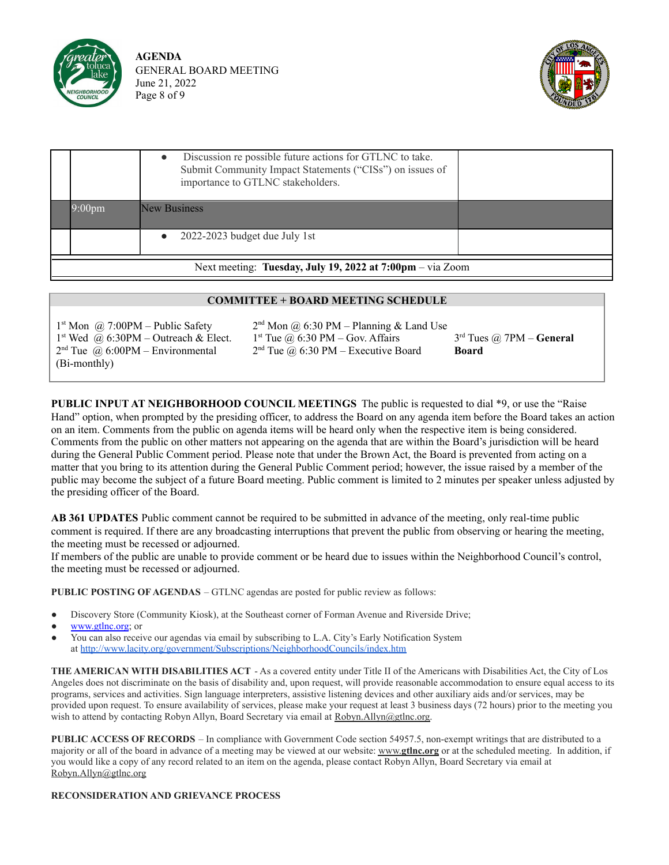

**AGENDA** GENERAL BOARD MEETING June 21, 2022 Page 8 of 9



| Next meeting: Tuesday, July 19, 2022 at $7:00 \text{pm} - \text{via}$ Zoom |                                                                                                                                                           |  |  |  |  |
|----------------------------------------------------------------------------|-----------------------------------------------------------------------------------------------------------------------------------------------------------|--|--|--|--|
|                                                                            | 2022-2023 budget due July 1st                                                                                                                             |  |  |  |  |
| $9:00$ pm                                                                  | New Business                                                                                                                                              |  |  |  |  |
|                                                                            | Discussion re possible future actions for GTLNC to take.<br>Submit Community Impact Statements ("CISs") on issues of<br>importance to GTLNC stakeholders. |  |  |  |  |

#### **COMMITTEE + BOARD MEETING SCHEDULE**

| $1st$ Mon @ 7:00PM – Public Safety               | $2nd$ Mon @ 6:30 PM – Planning & Land Use |                            |
|--------------------------------------------------|-------------------------------------------|----------------------------|
| 1 <sup>st</sup> Wed @ 6:30PM – Outreach & Elect. | $1st$ Tue @ 6:30 PM – Gov. Affairs        | $3rd$ Tues @ 7PM – General |
| $2nd$ Tue @ 6:00PM – Environmental               | $2nd$ Tue @ 6:30 PM – Executive Board     | Board                      |
| (Bi-monthly)                                     |                                           |                            |

**PUBLIC INPUT AT NEIGHBORHOOD COUNCIL MEETINGS** The public is requested to dial \*9, or use the "Raise Hand" option, when prompted by the presiding officer, to address the Board on any agenda item before the Board takes an action on an item. Comments from the public on agenda items will be heard only when the respective item is being considered. Comments from the public on other matters not appearing on the agenda that are within the Board's jurisdiction will be heard during the General Public Comment period. Please note that under the Brown Act, the Board is prevented from acting on a matter that you bring to its attention during the General Public Comment period; however, the issue raised by a member of the public may become the subject of a future Board meeting. Public comment is limited to 2 minutes per speaker unless adjusted by the presiding officer of the Board.

**AB 361 UPDATES** Public comment cannot be required to be submitted in advance of the meeting, only real-time public comment is required. If there are any broadcasting interruptions that prevent the public from observing or hearing the meeting, the meeting must be recessed or adjourned.

If members of the public are unable to provide comment or be heard due to issues within the Neighborhood Council's control, the meeting must be recessed or adjourned.

**PUBLIC POSTING OF AGENDAS** – GTLNC agendas are posted for public review as follows:

- Discovery Store (Community Kiosk), at the Southeast corner of Forman Avenue and Riverside Drive;
- [www.gtlnc.org](http://www.gtlnc.org); or
- You can also receive our agendas via email by subscribing to L.A. City's Early Notification System at <http://www.lacity.org/government/Subscriptions/NeighborhoodCouncils/index.htm>

**THE AMERICAN WITH DISABILITIES ACT** - As a covered entity under Title II of the Americans with Disabilities Act, the City of Los Angeles does not discriminate on the basis of disability and, upon request, will provide reasonable accommodation to ensure equal access to its programs, services and activities. Sign language interpreters, assistive listening devices and other auxiliary aids and/or services, may be provided upon request. To ensure availability of services, please make your request at least 3 business days (72 hours) prior to the meeting you wish to attend by contacting Robyn Allyn, Board Secretary via email at Robyn.Allyn@gtlnc.org.

**PUBLIC ACCESS OF RECORDS** – In compliance with Government Code section 54957.5, non-exempt writings that are distributed to a majority or all of the board in advance of a meeting may be viewed at our website: www.**gtlnc.org** or at the scheduled meeting. In addition, if you would like a copy of any record related to an item on the agenda, please contact Robyn Allyn, Board Secretary via email at Robyn.Allyn@gtlnc.org

#### **RECONSIDERATION AND GRIEVANCE PROCESS**